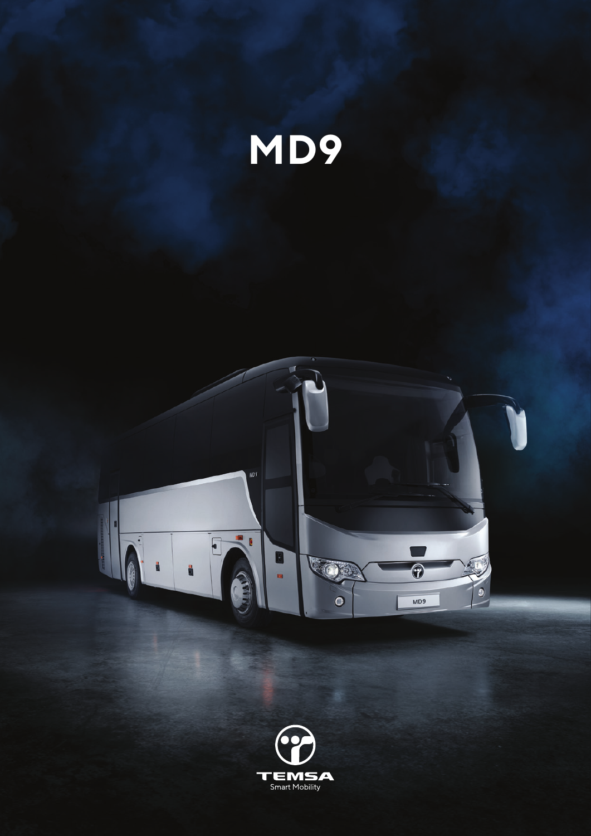

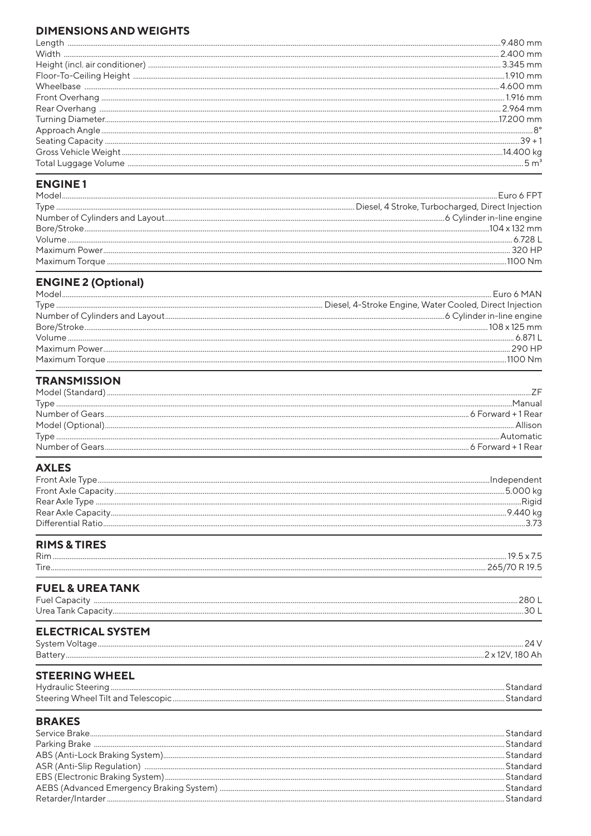# **DIMENSIONS AND WEIGHTS**

# **ENGINE1**

| Model                                                                                                                                                                                                                                                                                                                                                                                                                                                                                                                                           |           |
|-------------------------------------------------------------------------------------------------------------------------------------------------------------------------------------------------------------------------------------------------------------------------------------------------------------------------------------------------------------------------------------------------------------------------------------------------------------------------------------------------------------------------------------------------|-----------|
|                                                                                                                                                                                                                                                                                                                                                                                                                                                                                                                                                 |           |
|                                                                                                                                                                                                                                                                                                                                                                                                                                                                                                                                                 |           |
|                                                                                                                                                                                                                                                                                                                                                                                                                                                                                                                                                 |           |
|                                                                                                                                                                                                                                                                                                                                                                                                                                                                                                                                                 |           |
|                                                                                                                                                                                                                                                                                                                                                                                                                                                                                                                                                 |           |
| $\begin{minipage}{.45\textwidth} \centering \textbf{Maximum Torque}\ \textcolor{red}{\textbf{num}\ \textbf{num}\ \textbf{num}\ \textbf{num}\ \textbf{num}\ \textbf{num}\ \textbf{num}\ \textbf{num}\ \textbf{num}\ \textbf{num}\ \textbf{num}\ \textbf{num}\ \textbf{num}\ \textbf{num}\ \textbf{num}\ \textbf{num}\ \textbf{num}\ \textbf{num}\ \textbf{num}\ \textbf{num}\ \textbf{num}\ \textbf{num}\ \textbf{num}\ \textbf{num}\ \textbf{num}\ \textbf{num}\ \textbf{num}\ \textbf{num}\ \textbf{num}\ \textbf{num}\ \textbf{num}\ \textbf$ | – 1100 Nm |

# **ENGINE 2 (Optional)**

| Model |           |
|-------|-----------|
|       |           |
|       |           |
|       |           |
|       |           |
|       | 290 HP    |
|       | $1100$ Nm |

#### **TRANSMISSION**

| $\mathsf{Type}\xspace\text{}\xspace\text{}\xspace\text{}\xspace\text{}\xspace\text{}\xspace\text{}\xspace\text{}\xspace\text{}\xspace\text{}\xspace\text{}\xspace\text{}\xspace\text{}\xspace\text{}\xspace\text{}\xspace\text{}\xspace\text{}\xspace\text{}\xspace\text{}\xspace\text{}\xspace\text{}\xspace\text{}\xspace\text{}\xspace\text{}\xspace\text{}\xspace\text{}\xspace\text{}\xspace\text{}\xspace\text{}\xspace\text{}\xspace\text{}\xspace\text$ | Manual             |
|-----------------------------------------------------------------------------------------------------------------------------------------------------------------------------------------------------------------------------------------------------------------------------------------------------------------------------------------------------------------------------------------------------------------------------------------------------------------|--------------------|
|                                                                                                                                                                                                                                                                                                                                                                                                                                                                 | 6 Forward + 1 Rear |
|                                                                                                                                                                                                                                                                                                                                                                                                                                                                 |                    |
| Type.                                                                                                                                                                                                                                                                                                                                                                                                                                                           |                    |
|                                                                                                                                                                                                                                                                                                                                                                                                                                                                 | 6 Forward + 1 Rear |

#### **AXLES**

#### **RIMS & TIRES**

| RII'IJ & IIREJ              |                     |
|-----------------------------|---------------------|
|                             |                     |
|                             |                     |
| <b>FUEL &amp; UREA TANK</b> |                     |
|                             | 2801                |
|                             |                     |
| <b>ELECTRICAL SYSTEM</b>    |                     |
|                             | 24 V                |
|                             |                     |
| <b>STEERING WHEEL</b>       |                     |
| Hudraule                    | $C + \alpha \alpha$ |

#### 

## **BRAKES**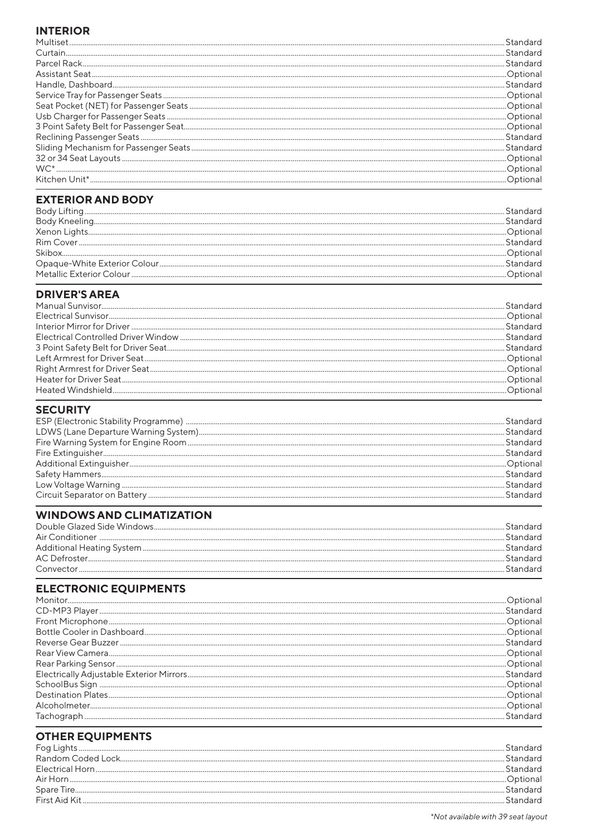## **INTERIOR**

|        | Standard  |
|--------|-----------|
|        | Standard  |
|        |           |
|        | Standard  |
|        |           |
|        |           |
|        | Optional  |
|        |           |
|        | Standard  |
|        | Standard  |
|        |           |
| $WC^*$ | .Optional |
|        |           |
|        |           |

## **EXTERIOR AND BODY**

| $\textsf{Body Lifting} \textit{} \textit{} \textit{} \textit{} \textit{} \textit{} \textit{} \textit{} \textit{} \textit{} \textit{} \textit{} \textit{} \textit{} \textit{} \textit{} \textit{} \textit{} \textit{} \textit{} \textit{} \textit{} \textit{} \textit{} \textit{} \textit{} \textit{} \textit{} \textit{} \textit{} \textit{} \textit{} \textit{} \textit{} \textit{} \text$ |  |
|---------------------------------------------------------------------------------------------------------------------------------------------------------------------------------------------------------------------------------------------------------------------------------------------------------------------------------------------------------------------------------------------|--|
|                                                                                                                                                                                                                                                                                                                                                                                             |  |
|                                                                                                                                                                                                                                                                                                                                                                                             |  |
|                                                                                                                                                                                                                                                                                                                                                                                             |  |
|                                                                                                                                                                                                                                                                                                                                                                                             |  |
|                                                                                                                                                                                                                                                                                                                                                                                             |  |
|                                                                                                                                                                                                                                                                                                                                                                                             |  |

#### **DRIVER'S AREA**

#### **SECURITY**

#### **WINDOWS AND CLIMATIZATION**

|              | Standard |
|--------------|----------|
|              | Standard |
|              | Standard |
| AC Defroster | Standard |
| Convector.   | Standard |

## **ELECTRONIC EQUIPMENTS**

# **OTHER EQUIPMENTS**

|               | Standard |
|---------------|----------|
|               | Standard |
| Air Horn      | Optional |
|               |          |
| First Aid Kit |          |